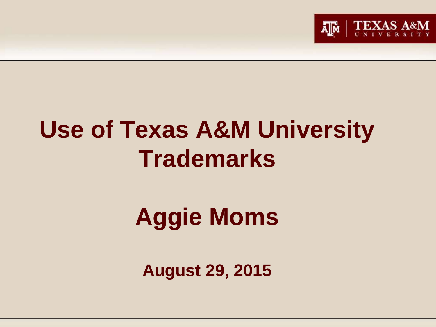

# **Use of Texas A&M University Trademarks**

# **Aggie Moms**

**August 29, 2015**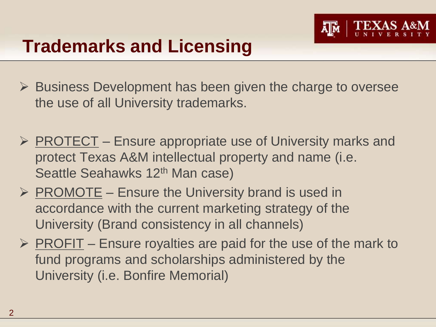

### **Trademarks and Licensing**

- $\triangleright$  Business Development has been given the charge to oversee the use of all University trademarks.
- $\triangleright$  PROTECT Ensure appropriate use of University marks and protect Texas A&M intellectual property and name (i.e. Seattle Seahawks 12<sup>th</sup> Man case)
- $\triangleright$  PROMOTE Ensure the University brand is used in accordance with the current marketing strategy of the University (Brand consistency in all channels)
- $\triangleright$  PROFIT Ensure royalties are paid for the use of the mark to fund programs and scholarships administered by the University (i.e. Bonfire Memorial)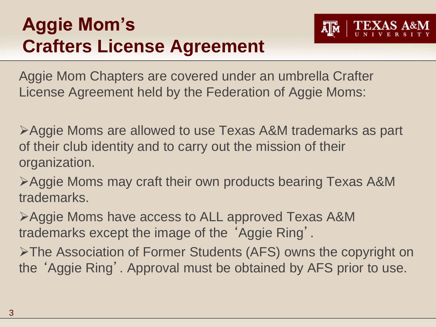## **Aggie Mom's Crafters License Agreement**



Aggie Mom Chapters are covered under an umbrella Crafter License Agreement held by the Federation of Aggie Moms:

Aggie Moms are allowed to use Texas A&M trademarks as part of their club identity and to carry out the mission of their organization.

Aggie Moms may craft their own products bearing Texas A&M trademarks.

Aggie Moms have access to ALL approved Texas A&M trademarks except the image of the 'Aggie Ring'.

The Association of Former Students (AFS) owns the copyright on the 'Aggie Ring'. Approval must be obtained by AFS prior to use.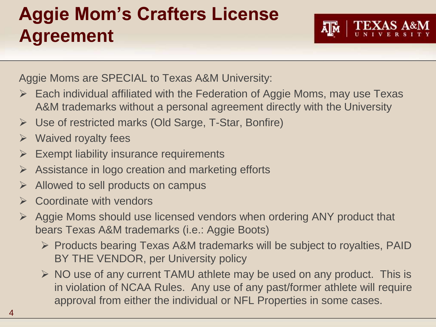## **Aggie Mom's Crafters License Agreement**



Aggie Moms are SPECIAL to Texas A&M University:

- $\triangleright$  Each individual affiliated with the Federation of Aggie Moms, may use Texas A&M trademarks without a personal agreement directly with the University
- Use of restricted marks (Old Sarge, T-Star, Bonfire)
- $\triangleright$  Waived royalty fees
- $\triangleright$  Exempt liability insurance requirements
- $\triangleright$  Assistance in logo creation and marketing efforts
- $\triangleright$  Allowed to sell products on campus
- $\triangleright$  Coordinate with vendors
- $\triangleright$  Aggie Moms should use licensed vendors when ordering ANY product that bears Texas A&M trademarks (i.e.: Aggie Boots)
	- $\triangleright$  Products bearing Texas A&M trademarks will be subject to royalties, PAID BY THE VENDOR, per University policy
	- $\triangleright$  NO use of any current TAMU athlete may be used on any product. This is in violation of NCAA Rules. Any use of any past/former athlete will require approval from either the individual or NFL Properties in some cases.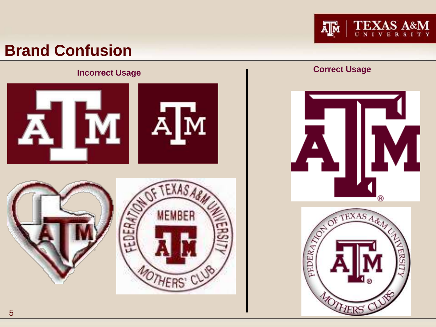

#### **Brand Confusion**

## **Incorrect Usage Correct Usage Correct Usage Correct Usage Correct Usage**  $\mathbf{\dot{M}}$  $\mathbf{A}_{\cdot}$ EXASABA (R) ROT OF TEXAS A.R.A. **MEMBER** FEDERA) FEDERA MOTHERS' C **OTHERS'**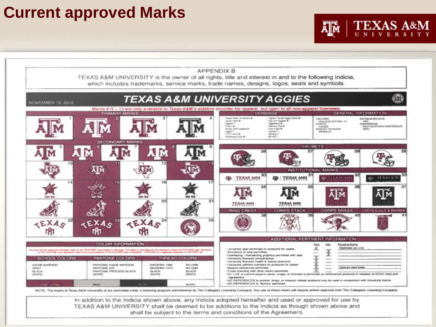#### **Current approved Marks**



**TEXAS A&M** 

UNIVERSI

ᇓ

In addition to the Indicia shown above, any Indicia adopted hereafter and used or approved for use by TEXAS A&M UNIVERSITY shall be deemed to be additions to the Indicia as though shown above and shall be subject to the terms and conditions of the Agreement.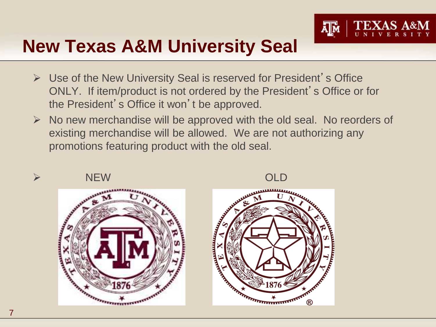

### **New Texas A&M University Seal**

- $\triangleright$  Use of the New University Seal is reserved for President's Office ONLY. If item/product is not ordered by the President's Office or for the President's Office it won't be approved.
- $\triangleright$  No new merchandise will be approved with the old seal. No reorders of existing merchandise will be allowed. We are not authorizing any promotions featuring product with the old seal.